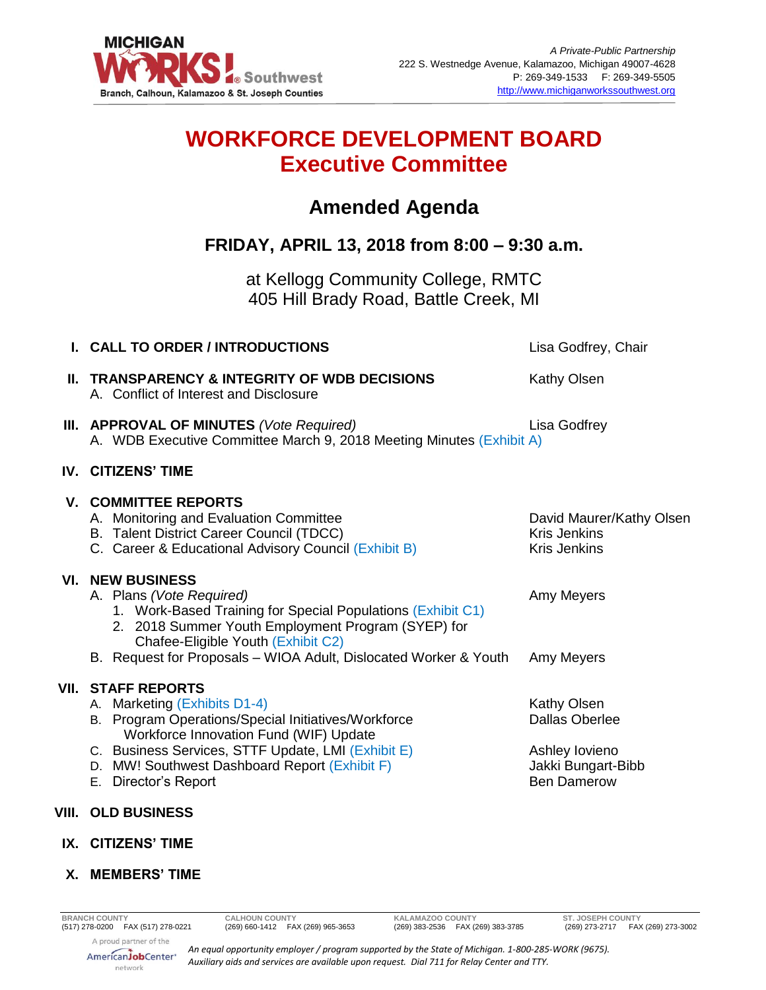

# **WORKFORCE DEVELOPMENT BOARD Executive Committee**

## **Amended Agenda**

### **FRIDAY, APRIL 13, 2018 from 8:00 – 9:30 a.m.**

at Kellogg Community College, RMTC 405 Hill Brady Road, Battle Creek, MI

| I. CALL TO ORDER / INTRODUCTIONS                                                                                                                                                                                                                                                          | Lisa Godfrey, Chair                                                                                       |
|-------------------------------------------------------------------------------------------------------------------------------------------------------------------------------------------------------------------------------------------------------------------------------------------|-----------------------------------------------------------------------------------------------------------|
| II. TRANSPARENCY & INTEGRITY OF WDB DECISIONS<br>A. Conflict of Interest and Disclosure                                                                                                                                                                                                   | <b>Kathy Olsen</b>                                                                                        |
| III. APPROVAL OF MINUTES (Vote Required)<br>A. WDB Executive Committee March 9, 2018 Meeting Minutes (Exhibit A)                                                                                                                                                                          | Lisa Godfrey                                                                                              |
| <b>IV. CITIZENS' TIME</b>                                                                                                                                                                                                                                                                 |                                                                                                           |
| <b>V. COMMITTEE REPORTS</b><br>A. Monitoring and Evaluation Committee<br>B. Talent District Career Council (TDCC)<br>C. Career & Educational Advisory Council (Exhibit B)                                                                                                                 | David Maurer/Kathy Olsen<br><b>Kris Jenkins</b><br><b>Kris Jenkins</b>                                    |
| <b>VI. NEW BUSINESS</b><br>A. Plans (Vote Required)<br>1. Work-Based Training for Special Populations (Exhibit C1)<br>2. 2018 Summer Youth Employment Program (SYEP) for<br>Chafee-Eligible Youth (Exhibit C2)                                                                            | Amy Meyers                                                                                                |
|                                                                                                                                                                                                                                                                                           | Amy Meyers                                                                                                |
| <b>VII. STAFF REPORTS</b><br>A. Marketing (Exhibits D1-4)<br>B. Program Operations/Special Initiatives/Workforce<br>Workforce Innovation Fund (WIF) Update<br>C. Business Services, STTF Update, LMI (Exhibit E)<br>D. MW! Southwest Dashboard Report (Exhibit F)<br>E. Director's Report | <b>Kathy Olsen</b><br><b>Dallas Oberlee</b><br>Ashley lovieno<br>Jakki Bungart-Bibb<br><b>Ben Damerow</b> |
| VIII. OLD BUSINESS                                                                                                                                                                                                                                                                        |                                                                                                           |
| IX. CITIZENS' TIME                                                                                                                                                                                                                                                                        |                                                                                                           |
|                                                                                                                                                                                                                                                                                           | B. Request for Proposals - WIOA Adult, Dislocated Worker & Youth                                          |

#### **X. MEMBERS' TIME**

*An equal opportunity employer / program supported by the State of Michigan. 1-800-285-WORK (9675). Auxiliary aids and services are available upon request. Dial 711 for Relay Center and TTY.*